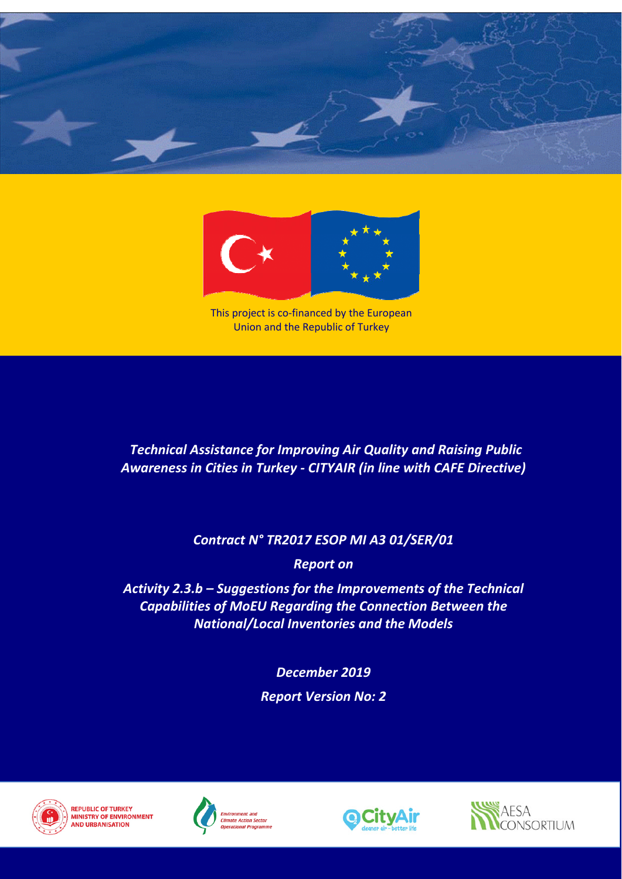



This project is co-financed by the European Union and the Republic of Turkey

# *Contract N° TR2017 ESOP MI A3 01/SER/01*

*Report on*

*Activity 2.3.b – Suggestions for the Improvements of the Technical Capabilities of MoEU Regarding the Connection Between the National/Local Inventories and the Models*

> *December 2019 Report Version No: 2*



**REPUBLIC OF TURKEY MINISTRY OF ENVIRONMENT IND URBANISATION** *Section Section Deperational Programme* 







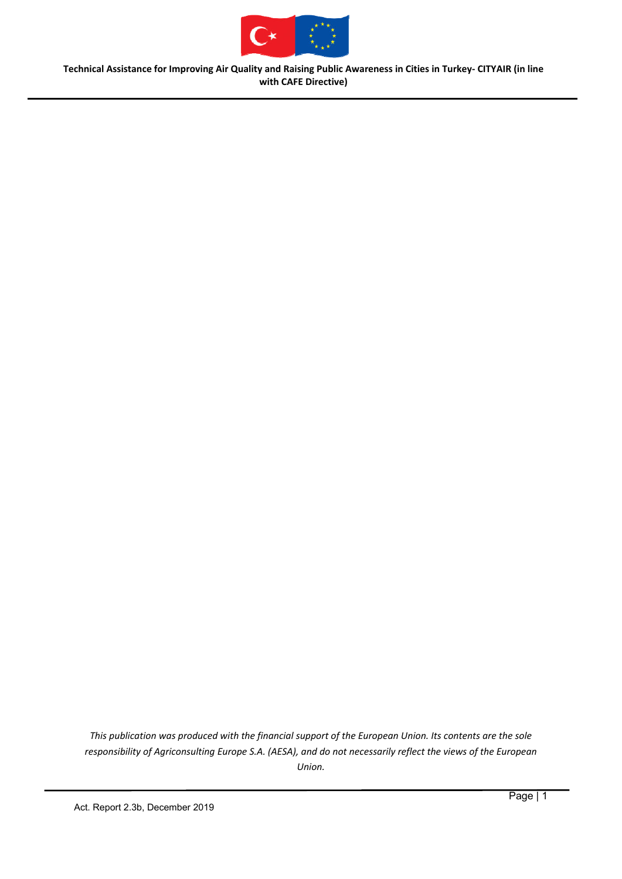

*This publication was produced with the financial support of the European Union. Its contents are the sole responsibility of Agriconsulting Europe S.A. (AESA), and do not necessarily reflect the views of the European Union.*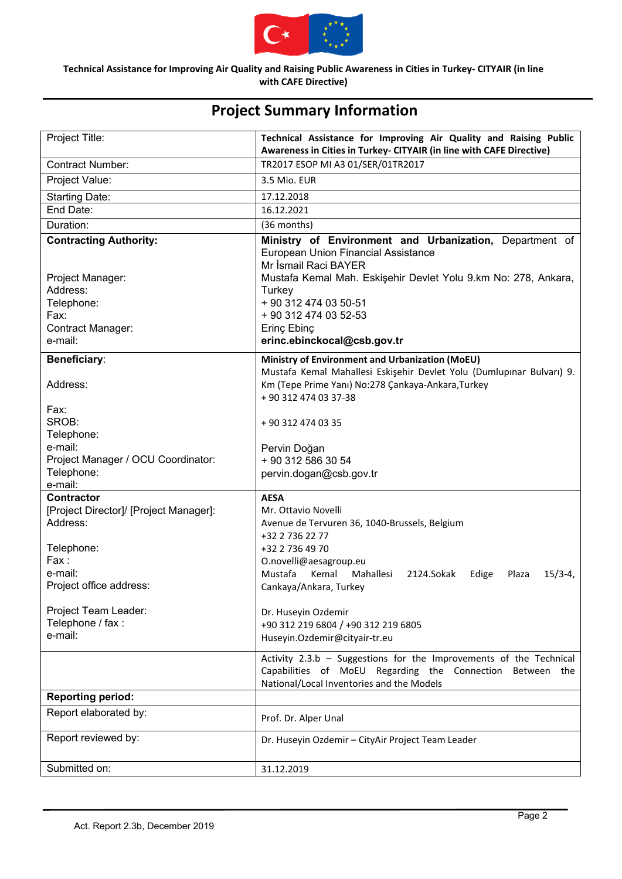

| Project Title:                                   | Technical Assistance for Improving Air Quality and Raising Public<br>Awareness in Cities in Turkey- CITYAIR (in line with CAFE Directive)                                       |
|--------------------------------------------------|---------------------------------------------------------------------------------------------------------------------------------------------------------------------------------|
| <b>Contract Number:</b>                          | TR2017 ESOP MI A3 01/SER/01TR2017                                                                                                                                               |
| Project Value:                                   | 3.5 Mio. EUR                                                                                                                                                                    |
| <b>Starting Date:</b>                            | 17.12.2018                                                                                                                                                                      |
| End Date:                                        | 16.12.2021                                                                                                                                                                      |
| Duration:                                        | (36 months)                                                                                                                                                                     |
| <b>Contracting Authority:</b>                    | Ministry of Environment and Urbanization, Department of<br>European Union Financial Assistance<br>Mr İsmail Raci BAYER                                                          |
| Project Manager:<br>Address:<br>Telephone:       | Mustafa Kemal Mah. Eskişehir Devlet Yolu 9.km No: 278, Ankara,<br>Turkey<br>+ 90 312 474 03 50-51                                                                               |
| Fax:                                             | + 90 312 474 03 52-53                                                                                                                                                           |
| Contract Manager:                                | Erinç Ebinç                                                                                                                                                                     |
| e-mail:                                          | erinc.ebinckocal@csb.gov.tr                                                                                                                                                     |
| <b>Beneficiary:</b>                              | Ministry of Environment and Urbanization (MoEU)                                                                                                                                 |
| Address:                                         | Mustafa Kemal Mahallesi Eskişehir Devlet Yolu (Dumlupınar Bulvarı) 9.<br>Km (Tepe Prime Yanı) No:278 Çankaya-Ankara, Turkey<br>+90 312 474 03 37-38                             |
| Fax:                                             |                                                                                                                                                                                 |
| SROB:                                            | +90 312 474 03 35                                                                                                                                                               |
| Telephone:                                       |                                                                                                                                                                                 |
| e-mail:                                          | Pervin Doğan                                                                                                                                                                    |
| Project Manager / OCU Coordinator:<br>Telephone: | + 90 312 586 30 54                                                                                                                                                              |
| e-mail:                                          | pervin.dogan@csb.gov.tr                                                                                                                                                         |
| <b>Contractor</b>                                | <b>AESA</b>                                                                                                                                                                     |
| [Project Director]/ [Project Manager]:           | Mr. Ottavio Novelli                                                                                                                                                             |
| Address:                                         | Avenue de Tervuren 36, 1040-Brussels, Belgium                                                                                                                                   |
| Telephone:                                       | +32 2 736 22 77<br>+32 2 736 49 70                                                                                                                                              |
| Fax:                                             | O.novelli@aesagroup.eu                                                                                                                                                          |
| e-mail:                                          | Mustafa<br>Kemal<br>Mahallesi<br>2124.Sokak<br>$15/3-4,$<br>Edige<br>Plaza                                                                                                      |
| Project office address:                          | Cankaya/Ankara, Turkey                                                                                                                                                          |
|                                                  |                                                                                                                                                                                 |
| Project Team Leader:                             | Dr. Huseyin Ozdemir                                                                                                                                                             |
| Telephone / fax :<br>e-mail:                     | +90 312 219 6804 / +90 312 219 6805                                                                                                                                             |
|                                                  | Huseyin.Ozdemir@cityair-tr.eu                                                                                                                                                   |
|                                                  | Activity 2.3.b - Suggestions for the Improvements of the Technical<br>Capabilities of MoEU Regarding the Connection<br>Between the<br>National/Local Inventories and the Models |
| <b>Reporting period:</b>                         |                                                                                                                                                                                 |
| Report elaborated by:                            | Prof. Dr. Alper Unal                                                                                                                                                            |
| Report reviewed by:                              | Dr. Huseyin Ozdemir - CityAir Project Team Leader                                                                                                                               |
| Submitted on:                                    | 31.12.2019                                                                                                                                                                      |

# **Project Summary Information**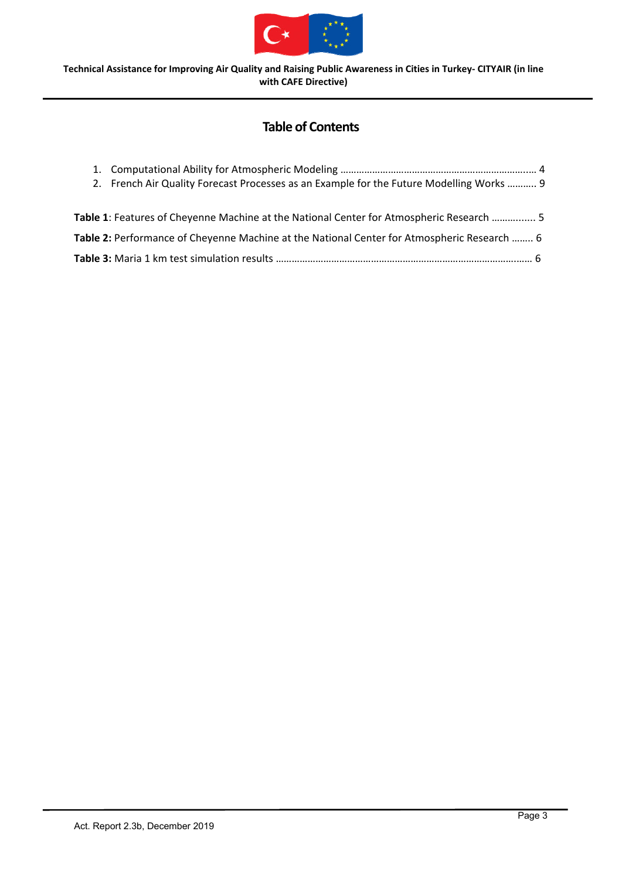

# **Table of Contents**

| 2. French Air Quality Forecast Processes as an Example for the Future Modelling Works  9    |  |
|---------------------------------------------------------------------------------------------|--|
|                                                                                             |  |
| Table 1: Features of Cheyenne Machine at the National Center for Atmospheric Research  5    |  |
| Table 2: Performance of Cheyenne Machine at the National Center for Atmospheric Research  6 |  |
|                                                                                             |  |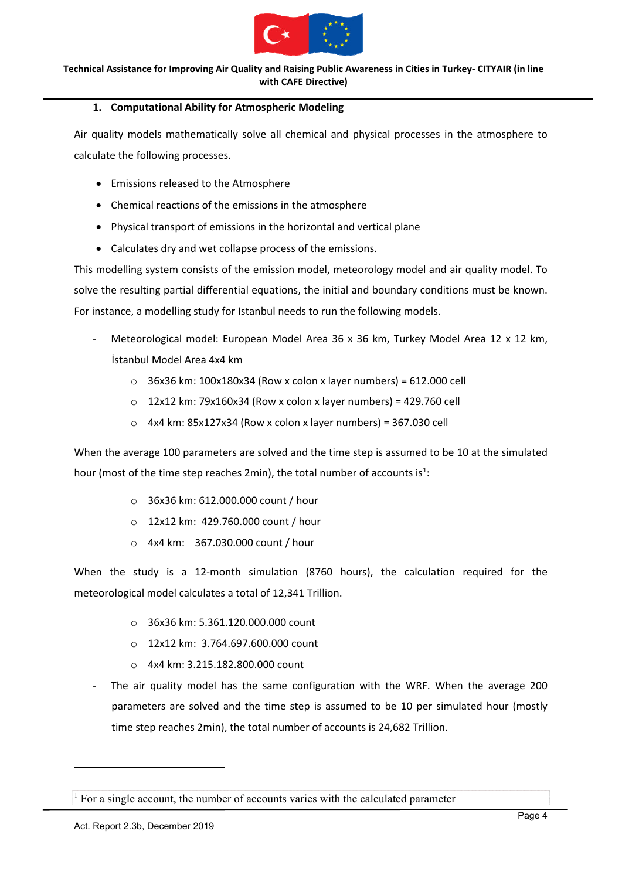

## **1. Computational Ability for Atmospheric Modeling**

Air quality models mathematically solve all chemical and physical processes in the atmosphere to calculate the following processes.

- Emissions released to the Atmosphere
- Chemical reactions of the emissions in the atmosphere
- Physical transport of emissions in the horizontal and vertical plane
- Calculates dry and wet collapse process of the emissions.

This modelling system consists of the emission model, meteorology model and air quality model. To solve the resulting partial differential equations, the initial and boundary conditions must be known. For instance, a modelling study for Istanbul needs to run the following models.

- ‐ Meteorological model: European Model Area 36 x 36 km, Turkey Model Area 12 x 12 km, İstanbul Model Area 4x4 km
	- $\circ$  36x36 km: 100x180x34 (Row x colon x layer numbers) = 612.000 cell
	- $O$  12x12 km: 79x160x34 (Row x colon x layer numbers) = 429.760 cell
	- $\circ$  4x4 km: 85x127x34 (Row x colon x layer numbers) = 367.030 cell

When the average 100 parameters are solved and the time step is assumed to be 10 at the simulated hour (most of the time step reaches 2min), the total number of accounts is<sup>1</sup>:

- o 36x36 km: 612.000.000 count / hour
- o 12x12 km: 429.760.000 count / hour
- o 4x4 km: 367.030.000 count / hour

When the study is a 12-month simulation (8760 hours), the calculation required for the meteorological model calculates a total of 12,341 Trillion.

- o 36x36 km: 5.361.120.000.000 count
- o 12x12 km: 3.764.697.600.000 count
- o 4x4 km: 3.215.182.800.000 count
- The air quality model has the same configuration with the WRF. When the average 200 parameters are solved and the time step is assumed to be 10 per simulated hour (mostly time step reaches 2min), the total number of accounts is 24,682 Trillion.

-

<sup>&</sup>lt;sup>1</sup> For a single account, the number of accounts varies with the calculated parameter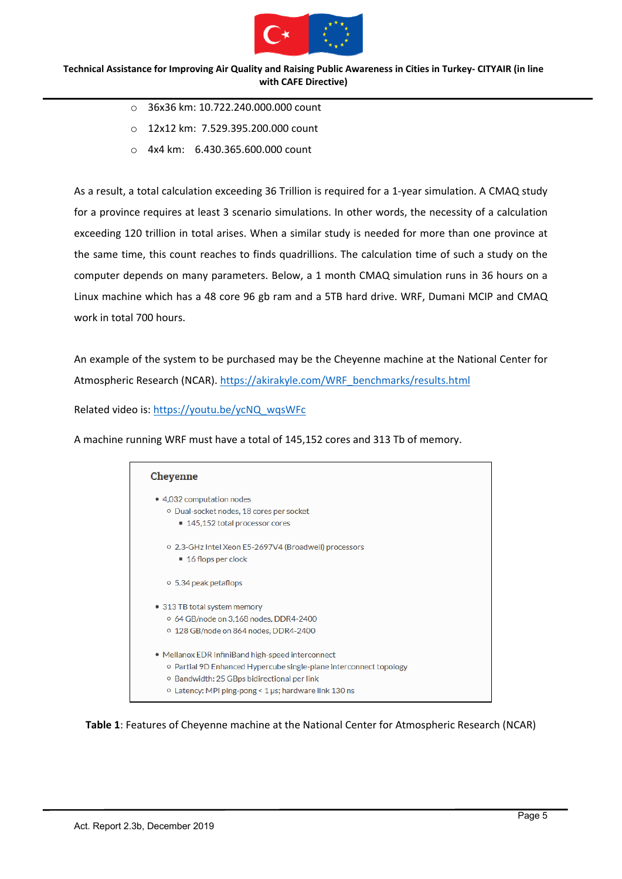

- o 36x36 km: 10.722.240.000.000 count
- o 12x12 km: 7.529.395.200.000 count
- o 4x4 km: 6.430.365.600.000 count

As a result, a total calculation exceeding 36 Trillion is required for a 1‐year simulation. A CMAQ study for a province requires at least 3 scenario simulations. In other words, the necessity of a calculation exceeding 120 trillion in total arises. When a similar study is needed for more than one province at the same time, this count reaches to finds quadrillions. The calculation time of such a study on the computer depends on many parameters. Below, a 1 month CMAQ simulation runs in 36 hours on a Linux machine which has a 48 core 96 gb ram and a 5TB hard drive. WRF, Dumani MCIP and CMAQ work in total 700 hours.

An example of the system to be purchased may be the Cheyenne machine at the National Center for Atmospheric Research (NCAR). https://akirakyle.com/WRF\_benchmarks/results.html

Related video is: https://youtu.be/ycNQ\_wqsWFc

A machine running WRF must have a total of 145,152 cores and 313 Tb of memory.



**Table 1**: Features of Cheyenne machine at the National Center for Atmospheric Research (NCAR)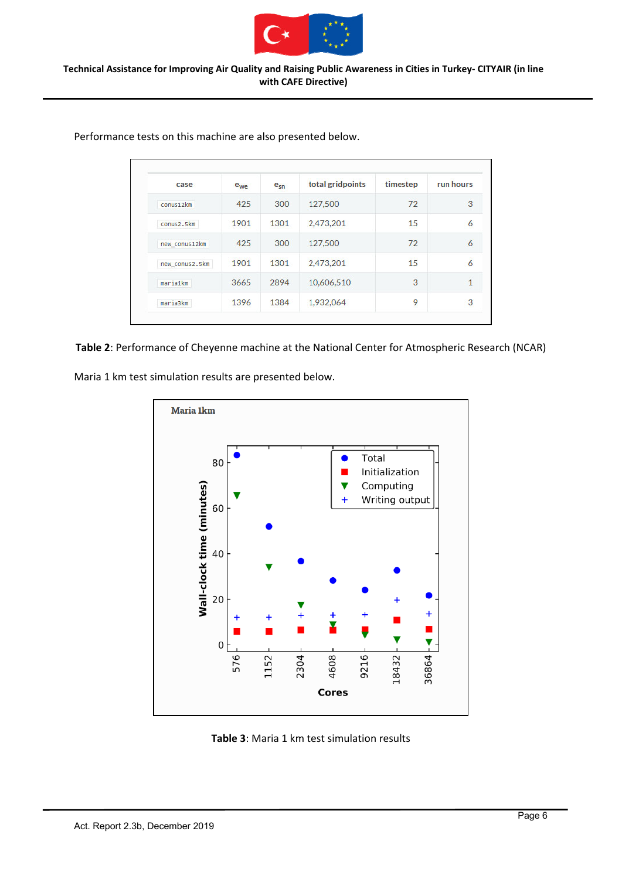

| case           | e <sub>we</sub> | $e_{sn}$ | total gridpoints | timestep | run hours      |
|----------------|-----------------|----------|------------------|----------|----------------|
| conus12km      | 425             | 300      | 127,500          | 72       | 3              |
| conus2.5km     | 1901            | 1301     | 2,473,201        | 15       | 6              |
| new conus12km  | 425             | 300      | 127,500          | 72       | 6              |
| new conus2.5km | 1901            | 1301     | 2,473,201        | 15       | $\overline{6}$ |
| maria1km       | 3665            | 2894     | 10,606,510       | 3        | 1              |
| maria3km       | 1396            | 1384     | 1,932,064        | 9        | 3              |

Performance tests on this machine are also presented below.

#### **Table 2**: Performance of Cheyenne machine at the National Center for Atmospheric Research (NCAR)

Maria 1 km test simulation results are presented below.



**Table 3**: Maria 1 km test simulation results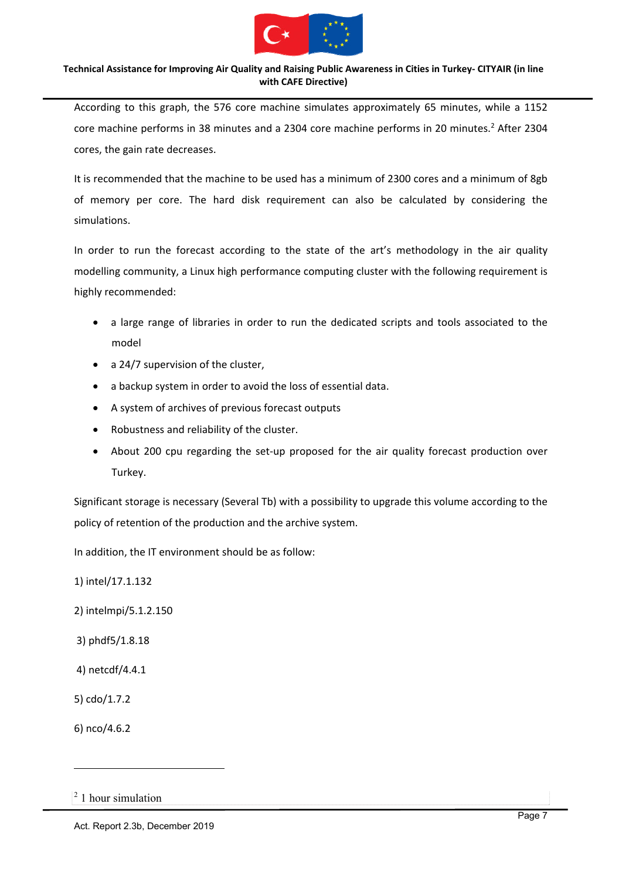

According to this graph, the 576 core machine simulates approximately 65 minutes, while a 1152 core machine performs in 38 minutes and a 2304 core machine performs in 20 minutes.<sup>2</sup> After 2304 cores, the gain rate decreases.

It is recommended that the machine to be used has a minimum of 2300 cores and a minimum of 8gb of memory per core. The hard disk requirement can also be calculated by considering the simulations.

In order to run the forecast according to the state of the art's methodology in the air quality modelling community, a Linux high performance computing cluster with the following requirement is highly recommended:

- a large range of libraries in order to run the dedicated scripts and tools associated to the model
- a 24/7 supervision of the cluster,
- a backup system in order to avoid the loss of essential data.
- A system of archives of previous forecast outputs
- Robustness and reliability of the cluster.
- About 200 cpu regarding the set‐up proposed for the air quality forecast production over Turkey.

Significant storage is necessary (Several Tb) with a possibility to upgrade this volume according to the policy of retention of the production and the archive system.

In addition, the IT environment should be as follow:

1) intel/17.1.132

- 2) intelmpi/5.1.2.150
- 3) phdf5/1.8.18
- 4) netcdf/4.4.1
- 5) cdo/1.7.2
- 6) nco/4.6.2

-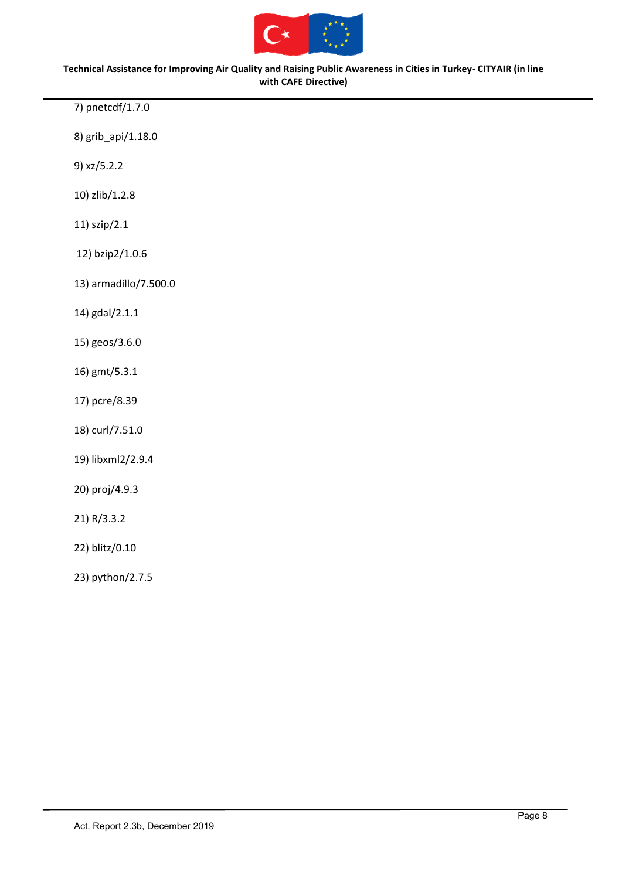

7) pnetcdf/1.7.0

8) grib\_api/1.18.0

9) xz/5.2.2

10) zlib/1.2.8

11) szip/2.1

12) bzip2/1.0.6

13) armadillo/7.500.0

14) gdal/2.1.1

15) geos/3.6.0

- 16) gmt/5.3.1
- 17) pcre/8.39

18) curl/7.51.0

19) libxml2/2.9.4

20) proj/4.9.3

21) R/3.3.2

22) blitz/0.10

23) python/2.7.5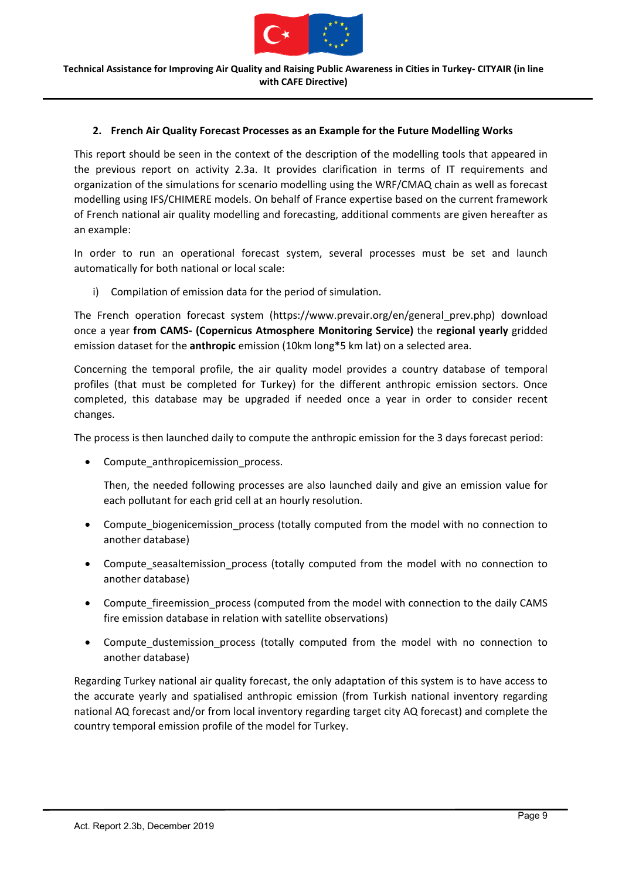

## **2. French Air Quality Forecast Processes as an Example for the Future Modelling Works**

This report should be seen in the context of the description of the modelling tools that appeared in the previous report on activity 2.3a. It provides clarification in terms of IT requirements and organization of the simulations for scenario modelling using the WRF/CMAQ chain as well as forecast modelling using IFS/CHIMERE models. On behalf of France expertise based on the current framework of French national air quality modelling and forecasting, additional comments are given hereafter as an example:

In order to run an operational forecast system, several processes must be set and launch automatically for both national or local scale:

i) Compilation of emission data for the period of simulation.

The French operation forecast system (https://www.prevair.org/en/general\_prev.php) download once a year **from CAMS‐ (Copernicus Atmosphere Monitoring Service)** the **regional yearly** gridded emission dataset for the **anthropic** emission (10km long\*5 km lat) on a selected area.

Concerning the temporal profile, the air quality model provides a country database of temporal profiles (that must be completed for Turkey) for the different anthropic emission sectors. Once completed, this database may be upgraded if needed once a year in order to consider recent changes.

The process is then launched daily to compute the anthropic emission for the 3 days forecast period:

Compute\_anthropicemission\_process.

Then, the needed following processes are also launched daily and give an emission value for each pollutant for each grid cell at an hourly resolution.

- Compute biogenicemission process (totally computed from the model with no connection to another database)
- Compute seasaltemission process (totally computed from the model with no connection to another database)
- Compute fireemission process (computed from the model with connection to the daily CAMS fire emission database in relation with satellite observations)
- Compute\_dustemission\_process (totally computed from the model with no connection to another database)

Regarding Turkey national air quality forecast, the only adaptation of this system is to have access to the accurate yearly and spatialised anthropic emission (from Turkish national inventory regarding national AQ forecast and/or from local inventory regarding target city AQ forecast) and complete the country temporal emission profile of the model for Turkey.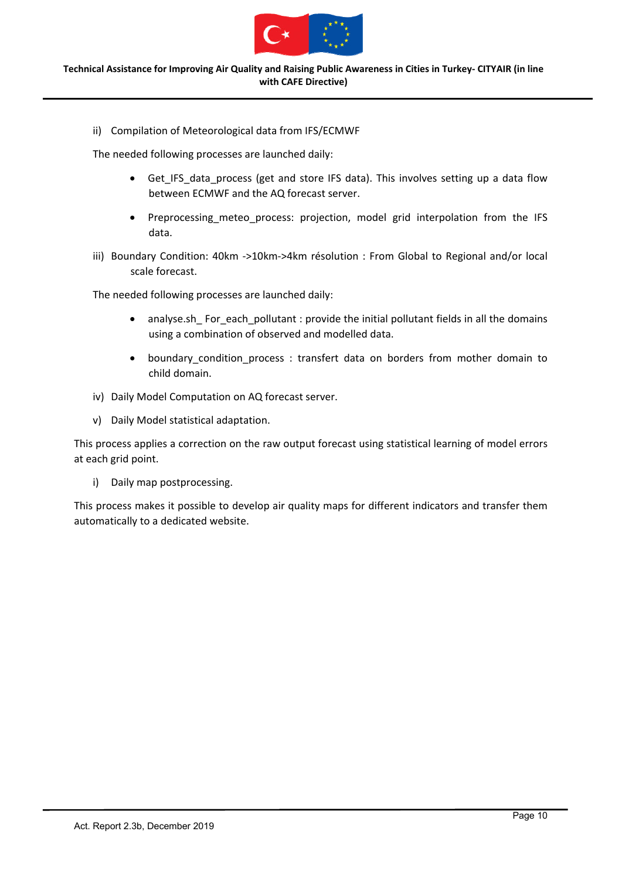

ii) Compilation of Meteorological data from IFS/ECMWF

The needed following processes are launched daily:

- Get IFS data process (get and store IFS data). This involves setting up a data flow between ECMWF and the AQ forecast server.
- Preprocessing\_meteo\_process: projection, model grid interpolation from the IFS data.
- iii) Boundary Condition: 40km ->10km->4km résolution : From Global to Regional and/or local scale forecast.

The needed following processes are launched daily:

- analyse.sh For each pollutant : provide the initial pollutant fields in all the domains using a combination of observed and modelled data.
- boundary\_condition\_process : transfert data on borders from mother domain to child domain.
- iv) Daily Model Computation on AQ forecast server.
- v) Daily Model statistical adaptation.

This process applies a correction on the raw output forecast using statistical learning of model errors at each grid point.

i) Daily map postprocessing.

This process makes it possible to develop air quality maps for different indicators and transfer them automatically to a dedicated website.